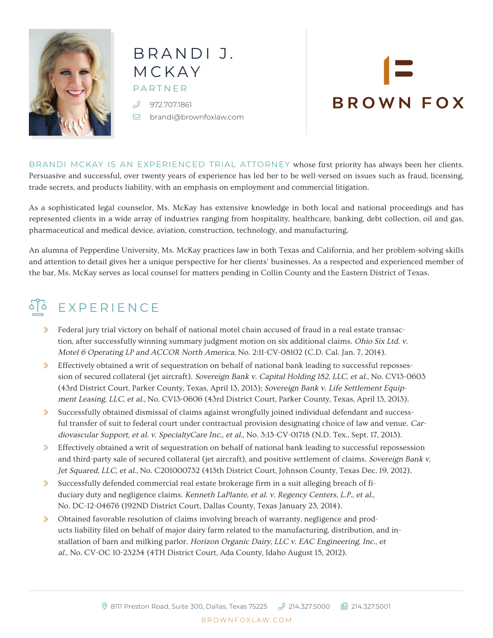

### BRANDI J. MCKAY PARTNER 972.707.1861

[brandi@brownfoxlaw.com](mailto:brandi%40brownfoxlaw.com?subject=)

# **BROWN FOX**

BRANDI MCKAY IS AN EXPERIENCED TRIAL ATTORNEY whose first priority has always been her clients. Persuasive and successful, over twenty years of experience has led her to be well-versed on issues such as fraud, licensing, trade secrets, and products liability, with an emphasis on employment and commercial litigation.

As a sophisticated legal counselor, Ms. McKay has extensive knowledge in both local and national proceedings and has represented clients in a wide array of industries ranging from hospitality, healthcare, banking, debt collection, oil and gas, pharmaceutical and medical device, aviation, construction, technology, and manufacturing.

An alumna of Pepperdine University, Ms. McKay practices law in both Texas and California, and her problem-solving skills and attention to detail gives her a unique perspective for her clients' businesses. As a respected and experienced member of the bar, Ms. McKay serves as local counsel for matters pending in Collin County and the Eastern District of Texas.

## SO EXPERIENCE

- $\gg$  Federal jury trial victory on behalf of national motel chain accused of fraud in a real estate transaction, after successfully winning summary judgment motion on six additional claims. Ohio Six Ltd. v. Motel 6 Operating LP and ACCOR North America, No. 2:11-CV-08102 (C.D. Cal. Jan. 7, 2014).
- $\gg$  Effectively obtained a writ of sequestration on behalf of national bank leading to successful repossession of secured collateral (jet aircraft). Sovereign Bank v. Capital Holding 182, LLC, et al., No. CV13-0603 (43rd District Court, Parker County, Texas, April 13, 2013); Sovereign Bank v. Life Settlement Equipment Leasing, LLC, et al., No. CV13-0606 (43rd District Court, Parker County, Texas, April 13, 2013).
- Successfully obtained dismissal of claims against wrongfully joined individual defendant and successful transfer of suit to federal court under contractual provision designating choice of law and venue. Cardiovascular Support, et al. v. SpecialtyCare Inc., et al., No. 3:13-CV-01718 (N.D. Tex., Sept. 17, 2013).
- $\gg$  Effectively obtained a writ of sequestration on behalf of national bank leading to successful repossession and third-party sale of secured collateral (jet aircraft), and positive settlement of claims. Sovereign Bank v. Jet Squared, LLC, et al., No. C201000732 (413th District Court, Johnson County, Texas Dec. 19, 2012).
- $\gg$  Successfully defended commercial real estate brokerage firm in a suit alleging breach of fiduciary duty and negligence claims. Kenneth LaPlante, et al. v. Regency Centers, L.P., et al., No. DC-12-04676 (192ND District Court, Dallas County, Texas January 23, 2014).
- $\gg$  Obtained favorable resolution of claims involving breach of warranty, negligence and products liability filed on behalf of major dairy farm related to the manufacturing, distribution, and installation of barn and milking parlor. Horizon Organic Dairy, LLC v. EAC Engineering, Inc., et al., No. CV-OC 10-23234 (4TH District Court, Ada County, Idaho August 15, 2012).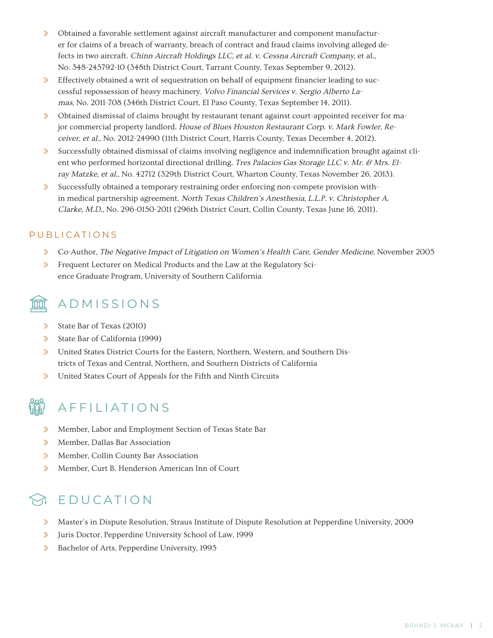- $\gg$  Obtained a favorable settlement against aircraft manufacturer and component manufacturer for claims of a breach of warranty, breach of contract and fraud claims involving alleged defects in two aircraft. Chinn Aircraft Holdings LLC, et al. v. Cessna Aircraft Company, et al., No. 348-245792-10 (348th District Court, Tarrant County, Texas September 9, 2012).
- $\gg$  Effectively obtained a writ of sequestration on behalf of equipment financier leading to successful repossession of heavy machinery. Volvo Financial Services v. Sergio Alberto Lamas, No. 2011-708 (346th District Court, El Paso County, Texas September 14, 2011).
- $\gg$  Obtained dismissal of claims brought by restaurant tenant against court-appointed receiver for major commercial property landlord. House of Blues Houston Restaurant Corp. v. Mark Fowler, Receiver, et al., No. 2012-24990 (11th District Court, Harris County, Texas December 4, 2012).
- $\gg$  Successfully obtained dismissal of claims involving negligence and indemnification brought against client who performed horizontal directional drilling. Tres Palacios Gas Storage LLC v. Mr. & Mrs. Elray Matzke, et al., No. 42712 (329th District Court, Wharton County, Texas November 26, 2013).
- $\gg$  Successfully obtained a temporary restraining order enforcing non-compete provision within medical partnership agreement. North Texas Children's Anesthesia, L.L.P. v. Christopher A. Clarke, M.D., No. 296-0150-2011 (296th District Court, Collin County, Texas June 16, 2011).

#### PUBLICATIONS

- ʰ Co-Author, The Negative Impact of Litigation on Women's Health Care, Gender Medicine, November 2005
- **K** Frequent Lecturer on Medical Products and the Law at the Regulatory Science Graduate Program, University of Southern California

#### ADMISSIONS

- ʰ State Bar of Texas (2010)
- $\gg$  State Bar of California (1999)
- $\gg$  United States District Courts for the Eastern, Northern, Western, and Southern Districts of Texas and Central, Northern, and Southern Districts of California
- $\Diamond$  United States Court of Appeals for the Fifth and Ninth Circuits



#### AFFILIATIONS

- **EXECUTE:** Member, Labor and Employment Section of Texas State Bar
- ʰ Member, Dallas Bar Association
- **»** Member, Collin County Bar Association
- » Member, Curt B. Henderson American Inn of Court

#### EDUCATION

- ʰ Master's in Dispute Resolution, Straus Institute of Dispute Resolution at Pepperdine University, 2009
- ʰ Juris Doctor, Pepperdine University School of Law, 1999
- **Example 1** Bachelor of Arts, Pepperdine University, 1995